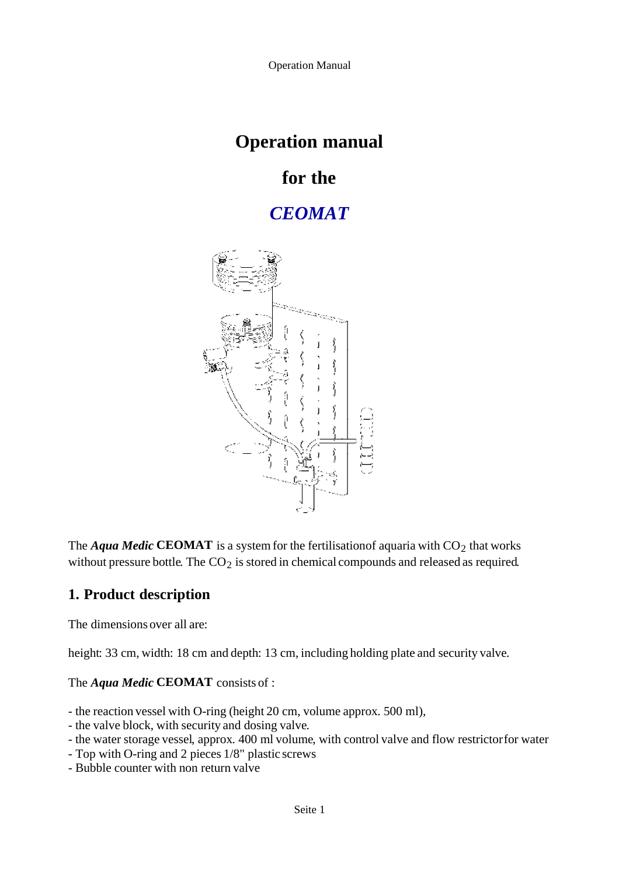# **Operation manual**

# **for the**

# *CEOMAT*



The *Aqua Medic* CEOMAT is a system for the fertilisation of aquaria with  $CO<sub>2</sub>$  that works without pressure bottle. The  $CO<sub>2</sub>$  is stored in chemical compounds and released as required.

# **1. Product description**

The dimensions over all are:

height: 33 cm, width: 18 cm and depth: 13 cm, including holding plate and security valve.

### The *Aqua Medic* **CEOMAT** consists of :

- the reaction vessel with O-ring (height 20 cm, volume approx. 500 ml),
- the valve block, with security and dosing valve.
- the water storage vessel, approx. 400 ml volume, with control valve and flow restrictor for water
- Top with O-ring and 2 pieces 1/8" plastic screws
- Bubble counter with non return valve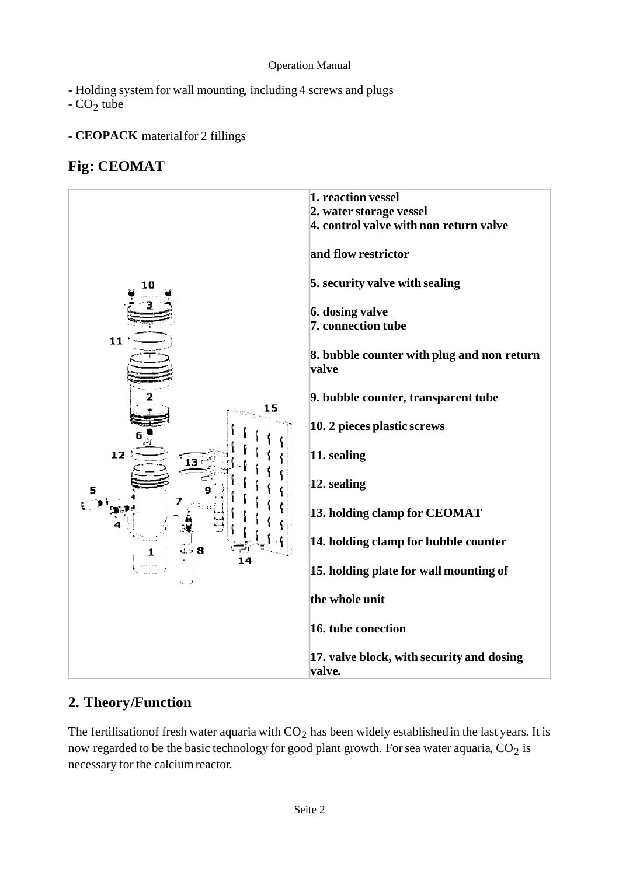- Holding system for wall mounting, including 4 screws and plugs

 $-CO<sub>2</sub>$  tube

## - **CEOPACK** material for 2 fillings

## **Fig: CEOMAT**



## **2. Theory/Function**

The fertilisation of fresh water aquaria with  $CO<sub>2</sub>$  has been widely established in the last years. It is now regarded to be the basic technology for good plant growth. For sea water aquaria,  $CO<sub>2</sub>$  is necessary for the calcium reactor.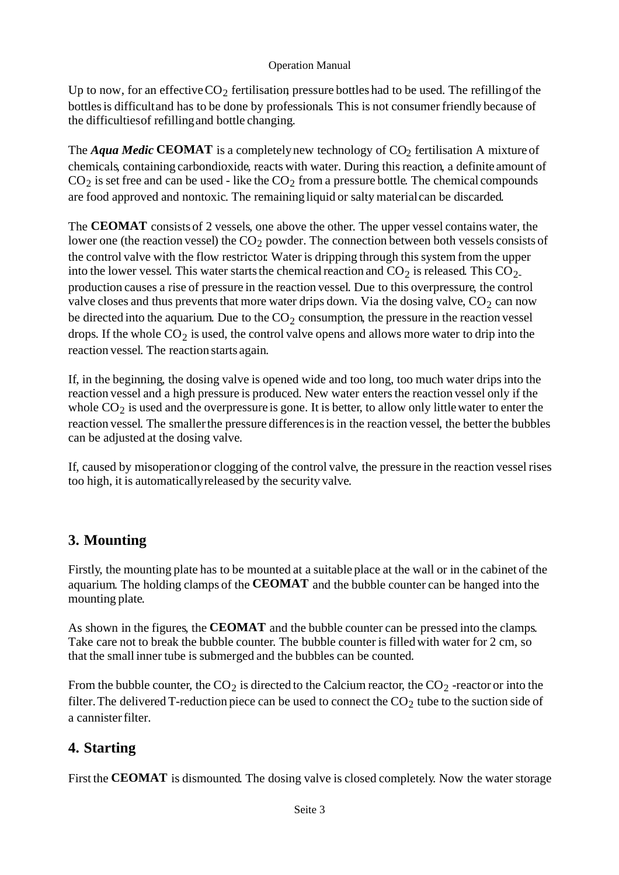Up to now, for an effective  $CO_2$  fertilisation, pressure bottles had to be used. The refilling of the bottles is difficult and has to be done by professionals. This is not consumer friendly because of the difficulties of refilling and bottle changing.

The *Aqua Medic* CEOMAT is a completely new technology of  $CO_2$  fertilisation. A mixture of chemicals, containing carbondioxide, reacts with water. During this reaction, a definite amount of  $CO<sub>2</sub>$  is set free and can be used - like the  $CO<sub>2</sub>$  from a pressure bottle. The chemical compounds are food approved and nontoxic. The remaining liquid or salty material can be discarded.

The **CEOMAT** consists of 2 vessels, one above the other. The upper vessel contains water, the lower one (the reaction vessel) the  $CO<sub>2</sub>$  powder. The connection between both vessels consists of the control valve with the flow restrictor. Water is dripping through this system from the upper into the lower vessel. This water starts the chemical reaction and  $CO_2$  is released. This  $CO_2$ production causes a rise of pressure in the reaction vessel. Due to this overpressure, the control valve closes and thus prevents that more water drips down. Via the dosing valve,  $CO<sub>2</sub>$  can now be directed into the aquarium. Due to the  $CO<sub>2</sub>$  consumption, the pressure in the reaction vessel drops. If the whole  $CO<sub>2</sub>$  is used, the control valve opens and allows more water to drip into the reaction vessel. The reaction starts again.

If, in the beginning, the dosing valve is opened wide and too long, too much water drips into the reaction vessel and a high pressure is produced. New water enters the reaction vessel only if the whole  $CO<sub>2</sub>$  is used and the overpressure is gone. It is better, to allow only little water to enter the reaction vessel. The smaller the pressure differences is in the reaction vessel, the better the bubbles can be adjusted at the dosing valve.

If, caused by misoperation or clogging of the control valve, the pressure in the reaction vessel rises too high, it is automatically released by the security valve.

# **3. Mounting**

Firstly, the mounting plate has to be mounted at a suitable place at the wall or in the cabinet of the aquarium. The holding clamps of the **CEOMAT** and the bubble counter can be hanged into the mounting plate.

As shown in the figures, the **CEOMAT** and the bubble counter can be pressed into the clamps. Take care not to break the bubble counter. The bubble counter is filled with water for 2 cm, so that the small inner tube is submerged and the bubbles can be counted.

From the bubble counter, the  $CO_2$  is directed to the Calcium reactor, the  $CO_2$ -reactor or into the filter. The delivered T-reduction piece can be used to connect the  $CO<sub>2</sub>$  tube to the suction side of a cannister filter.

## **4. Starting**

First the **CEOMAT** is dismounted. The dosing valve is closed completely. Now the water storage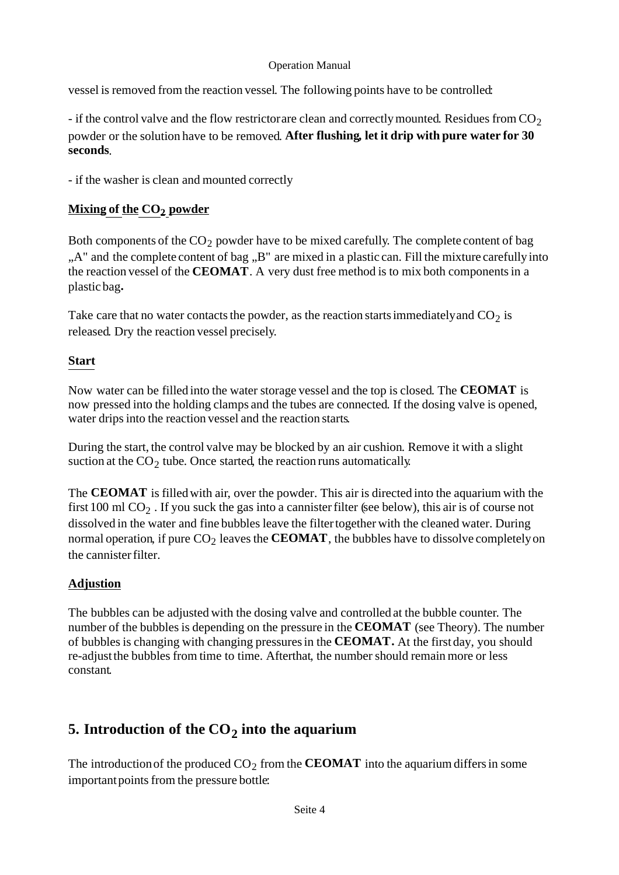vessel is removed from the reaction vessel. The following points have to be controlled:

- if the control valve and the flow restrictor are clean and correctly mounted. Residues from  $CO<sub>2</sub>$ powder or the solution have to be removed. **After flushing, let it drip with pure water for 30 seconds**.

- if the washer is clean and mounted correctly

## **Mixing of the CO2 powder**

Both components of the  $CO<sub>2</sub>$  powder have to be mixed carefully. The complete content of bag "A" and the complete content of bag "B" are mixed in a plastic can. Fill the mixture carefully into the reaction vessel of the **CEOMAT**. A very dust free method is to mix both components in a plastic bag**.**

Take care that no water contacts the powder, as the reaction starts immediately and  $CO<sub>2</sub>$  is released. Dry the reaction vessel precisely.

### **Start**

Now water can be filled into the water storage vessel and the top is closed. The **CEOMAT** is now pressed into the holding clamps and the tubes are connected. If the dosing valve is opened, water drips into the reaction vessel and the reaction starts.

During the start, the control valve may be blocked by an air cushion. Remove it with a slight suction at the  $CO<sub>2</sub>$  tube. Once started, the reaction runs automatically.

The **CEOMAT** is filled with air, over the powder. This air is directed into the aquarium with the first 100 ml  $CO<sub>2</sub>$ . If you suck the gas into a cannister filter (see below), this air is of course not dissolved in the water and fine bubbles leave the filter together with the cleaned water. During normal operation, if pure  $CO<sub>2</sub>$  leaves the **CEOMAT**, the bubbles have to dissolve completely on the cannister filter.

### **Adjustion**

The bubbles can be adjusted with the dosing valve and controlled at the bubble counter. The number of the bubbles is depending on the pressure in the **CEOMAT** (see Theory). The number of bubbles is changing with changing pressures in the **CEOMAT.** At the first day, you should re-adjust the bubbles from time to time. After that, the number should remain more or less constant.

# **5. Introduction of the CO<sub>2</sub> into the aquarium**

The introduction of the produced  $CO<sub>2</sub>$  from the **CEOMAT** into the aquarium differs in some important points from the pressure bottle: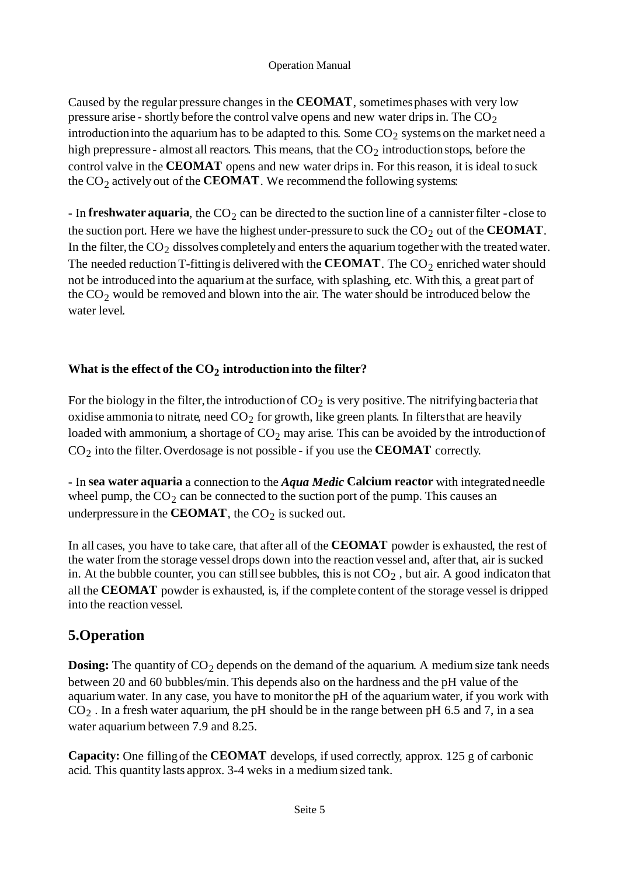Caused by the regular pressure changes in the **CEOMAT**, sometimes phases with very low pressure arise - shortly before the control valve opens and new water drips in. The  $CO<sub>2</sub>$ introduction into the aquarium has to be adapted to this. Some  $CO<sub>2</sub>$  systems on the market need a high prepressure - almost all reactors. This means, that the  $CO<sub>2</sub>$  introduction stops, before the control valve in the **CEOMAT** opens and new water drips in. For this reason, it is ideal to suck the  $CO<sub>2</sub>$  actively out of the **CEOMAT**. We recommend the following systems:

 $-$  In **freshwater aquaria**, the CO<sub>2</sub> can be directed to the suction line of a cannister filter  $-$  close to the suction port. Here we have the highest under-pressure to suck the  $CO<sub>2</sub>$  out of the **CEOMAT**. In the filter, the  $CO<sub>2</sub>$  dissolves completely and enters the aquarium together with the treated water. The needed reduction T-fitting is delivered with the **CEOMAT**. The  $CO<sub>2</sub>$  enriched water should not be introduced into the aquarium at the surface, with splashing, etc. With this, a great part of the  $CO<sub>2</sub>$  would be removed and blown into the air. The water should be introduced below the water level.

## What is the effect of the CO<sub>2</sub> introduction into the filter?

For the biology in the filter, the introduction of  $CO<sub>2</sub>$  is very positive. The nitrifying bacteria that oxidise ammonia to nitrate, need  $CO<sub>2</sub>$  for growth, like green plants. In filters that are heavily loaded with ammonium, a shortage of  $CO<sub>2</sub>$  may arise. This can be avoided by the introduction of CO2 into the filter. Overdosage is not possible - if you use the **CEOMAT** correctly.

- In **sea water aquaria** a connection to the *Aqua Medic* **Calcium reactor** with integrated needle wheel pump, the  $CO<sub>2</sub>$  can be connected to the suction port of the pump. This causes an underpressure in the **CEOMAT**, the  $CO<sub>2</sub>$  is sucked out.

In all cases, you have to take care, that after all of the **CEOMAT** powder is exhausted, the rest of the water from the storage vessel drops down into the reaction vessel and, after that, air is sucked in. At the bubble counter, you can still see bubbles, this is not  $CO<sub>2</sub>$ , but air. A good indicaton that all the **CEOMAT** powder is exhausted, is, if the complete content of the storage vessel is dripped into the reaction vessel.

## **5.Operation**

**Dosing:** The quantity of  $CO<sub>2</sub>$  depends on the demand of the aquarium. A medium size tank needs between 20 and 60 bubbles/min. This depends also on the hardness and the pH value of the aquarium water. In any case, you have to monitor the pH of the aquarium water, if you work with  $CO<sub>2</sub>$ . In a fresh water aquarium, the pH should be in the range between pH 6.5 and 7, in a sea water aquarium between 7.9 and 8.25.

**Capacity:** One filling of the **CEOMAT** develops, if used correctly, approx. 125 g of carbonic acid. This quantity lasts approx. 3-4 weks in a medium sized tank.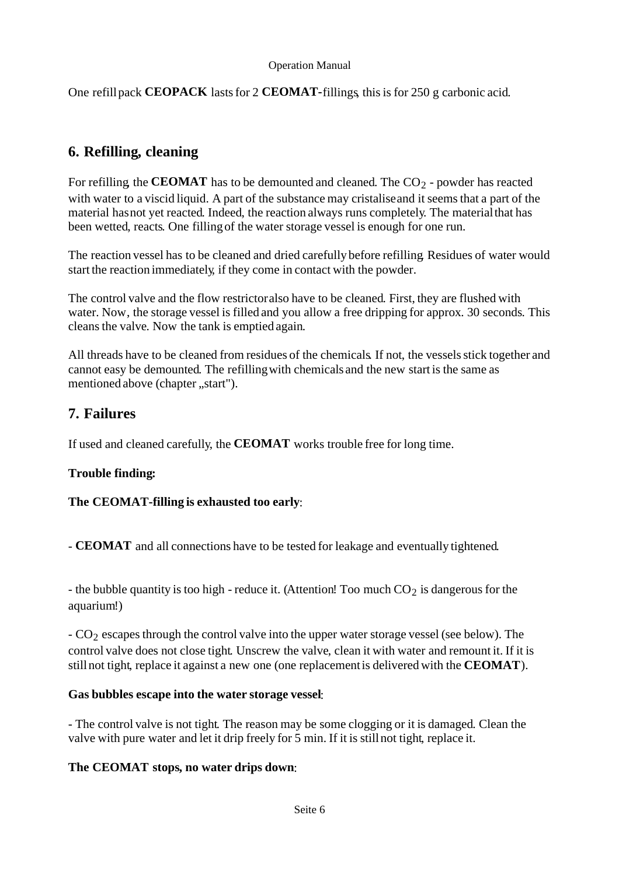One refill pack **CEOPACK** lasts for 2 **CEOMAT-**fillings, this is for 250 g carbonic acid.

## **6. Refilling, cleaning**

For refilling, the **CEOMAT** has to be demounted and cleaned. The  $CO<sub>2</sub>$  - powder has reacted with water to a viscid liquid. A part of the substance may cristalise and it seems that a part of the material has not yet reacted. Indeed, the reaction always runs completely. The material that has been wetted, reacts. One filling of the water storage vessel is enough for one run.

The reaction vessel has to be cleaned and dried carefully before refilling. Residues of water would start the reaction immediately, if they come in contact with the powder.

The control valve and the flow restrictor also have to be cleaned. First, they are flushed with water. Now, the storage vessel is filled and you allow a free dripping for approx. 30 seconds. This cleans the valve. Now the tank is emptied again.

All threads have to be cleaned from residues of the chemicals. If not, the vessels stick together and cannot easy be demounted. The refilling with chemicals and the new start is the same as mentioned above (chapter ..start").

## **7. Failures**

If used and cleaned carefully, the **CEOMAT** works trouble free for long time.

### **Trouble finding:**

### **The CEOMAT-filling is exhausted too early**:

- **CEOMAT** and all connections have to be tested for leakage and eventually tightened.

- the bubble quantity is too high - reduce it. (Attention! Too much  $CO<sub>2</sub>$  is dangerous for the aquarium!)

- CO2 escapes through the control valve into the upper water storage vessel (see below). The control valve does not close tight. Unscrew the valve, clean it with water and remount it. If it is still not tight, replace it against a new one (one replacement is delivered with the **CEOMAT**).

#### **Gas bubbles escape into the water storage vessel**:

- The control valve is not tight. The reason may be some clogging or it is damaged. Clean the valve with pure water and let it drip freely for 5 min. If it is still not tight, replace it.

### **The CEOMAT stops, no water drips down**: